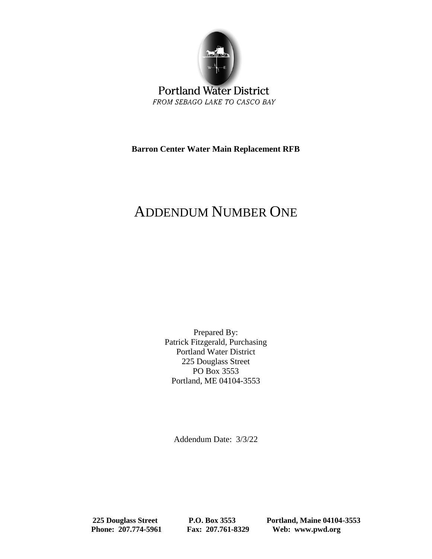

**Portland Water District** FROM SEBAGO LAKE TO CASCO BAY

**Barron Center Water Main Replacement RFB**

# ADDENDUM NUMBER ONE

Prepared By: Patrick Fitzgerald, Purchasing Portland Water District 225 Douglass Street PO Box 3553 Portland, ME 04104-3553

Addendum Date: 3/3/22

 **225 Douglass Street P.O. Box 3553 Portland, Maine 04104-3553 Phone: 207.774-5961 Fax: 207.761-8329 Web: www.pwd.org**